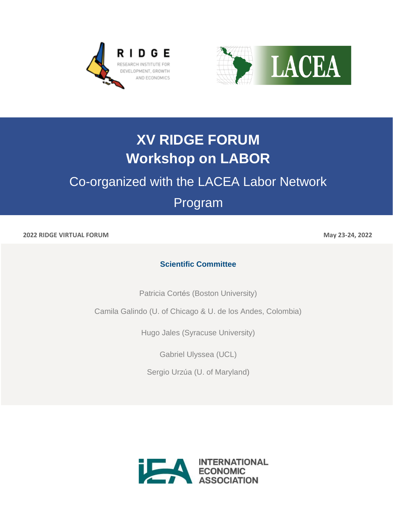



# **XV RIDGE FORUM Workshop on LABOR**

## Co-organized with the LACEA Labor Network

## Program

**2022 RIDGE VIRTUAL FORUM May 23-24, 2022**

### **Scientific Committee**

Patricia Cortés (Boston University)

Camila Galindo (U. of Chicago & U. de los Andes, Colombia)

Hugo Jales (Syracuse University)

Gabriel Ulyssea (UCL)

Sergio Urzúa (U. of Maryland)

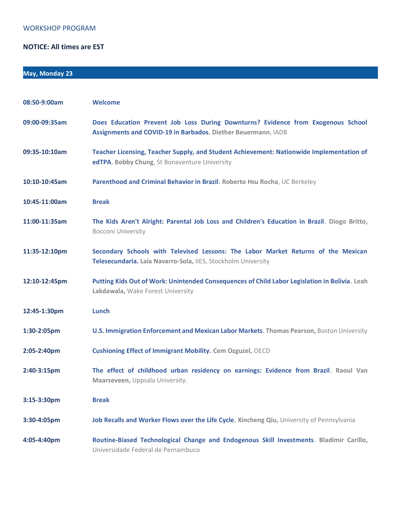#### WORKSHOP PROGRAM

#### **NOTICE: All times are EST**

### **May, Monday 23**

| 08:50-9:00am  | <b>Welcome</b>                                                                                                                                     |
|---------------|----------------------------------------------------------------------------------------------------------------------------------------------------|
| 09:00-09:35am | Does Education Prevent Job Loss During Downturns? Evidence from Exogenous School<br>Assignments and COVID-19 in Barbados. Diether Beuermann, IADB  |
| 09:35-10:10am | Teacher Licensing, Teacher Supply, and Student Achievement: Nationwide Implementation of<br>edTPA. Bobby Chung, St Bonaventure University          |
| 10:10-10:45am | Parenthood and Criminal Behavior in Brazil. Roberto Hsu Rocha, UC Berkeley                                                                         |
| 10:45-11:00am | <b>Break</b>                                                                                                                                       |
| 11:00-11:35am | The Kids Aren't Alright: Parental Job Loss and Children's Education in Brazil. Diogo Britto,<br><b>Bocconi University</b>                          |
| 11:35-12:10pm | Secondary Schools with Televised Lessons: The Labor Market Returns of the Mexican<br>Telesecundaria. Laia Navarro-Sola, IIES, Stockholm University |
| 12:10-12:45pm | Putting Kids Out of Work: Unintended Consequences of Child Labor Legislation in Bolivia. Leah<br>Lakdawala, Wake Forest University                 |
| 12:45-1:30pm  | Lunch                                                                                                                                              |
| 1:30-2:05pm   | U.S. Immigration Enforcement and Mexican Labor Markets. Thomas Pearson, Boston University                                                          |
| 2:05-2:40pm   | <b>Cushioning Effect of Immigrant Mobility. Cem Ozguzel, OECD</b>                                                                                  |
| 2:40-3:15pm   | The effect of childhood urban residency on earnings: Evidence from Brazil. Raoul Van<br>Maarseveen, Uppsala University.                            |
| 3:15-3:30pm   | <b>Break</b>                                                                                                                                       |
| 3:30-4:05pm   | Job Recalls and Worker Flows over the Life Cycle. Xincheng Qiu, University of Pennsylvania                                                         |
| 4:05-4:40pm   | Routine-Biased Technological Change and Endogenous Skill Investments. Bladimir Carillo,<br>Universidade Federal de Pernambuco                      |